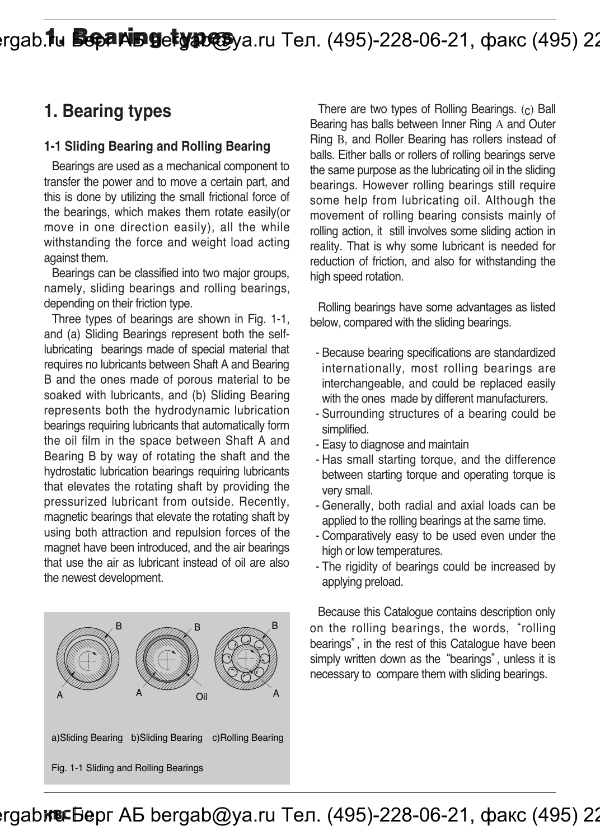# **1986. Nu Separing detype@**ya.ru Тел. (495)-228-06-21, факс (495) 22

### **1. Bearing types**

#### **1-1 Sliding Bearing and Rolling Bearing**

Bearings are used as a mechanical component to transfer the power and to move a certain part, and this is done by utilizing the small frictional force of the bearings, which makes them rotate easily(or move in one direction easily), all the while withstanding the force and weight load acting against them.

Bearings can be classified into two major groups, namely, sliding bearings and rolling bearings, depending on their friction type.

Three types of bearings are shown in Fig. 1-1, and (a) Sliding Bearings represent both the selflubricating bearings made of special material that requires no lubricants between Shaft A and Bearing B and the ones made of porous material to be soaked with lubricants, and (b) Sliding Bearing represents both the hydrodynamic lubrication bearings requiring lubricants that automatically form the oil film in the space between Shaft A and Bearing B by way of rotating the shaft and the hydrostatic lubrication bearings requiring lubricants that elevates the rotating shaft by providing the pressurized lubricant from outside. Recently, magnetic bearings that elevate the rotating shaft by using both attraction and repulsion forces of the magnet have been introduced, and the air bearings that use the air as lubricant instead of oil are also the newest development.



There are two types of Rolling Bearings. (c) Ball Bearing has balls between Inner Ring A and Outer Ring B, and Roller Bearing has rollers instead of balls. Either balls or rollers of rolling bearings serve the same purpose as the lubricating oil in the sliding bearings. However rolling bearings still require some help from lubricating oil. Although the movement of rolling bearing consists mainly of rolling action, it still involves some sliding action in reality. That is why some lubricant is needed for reduction of friction, and also for withstanding the high speed rotation.

Rolling bearings have some advantages as listed below, compared with the sliding bearings.

- Because bearing specifications are standardized internationally, most rolling bearings are interchangeable, and could be replaced easily with the ones made by different manufacturers.
- Surrounding structures of a bearing could be simplified.
- Easy to diagnose and maintain
- Has small starting torque, and the difference between starting torque and operating torque is very small.
- Generally, both radial and axial loads can be applied to the rolling bearings at the same time.
- Comparatively easy to be used even under the high or low temperatures.
- The rigidity of bearings could be increased by applying preload.

Because this Catalogue contains description only on the rolling bearings, the words, "rolling bearings", in the rest of this Catalogue have been simply written down as the "bearings", unless it is necessary to compare them with sliding bearings.